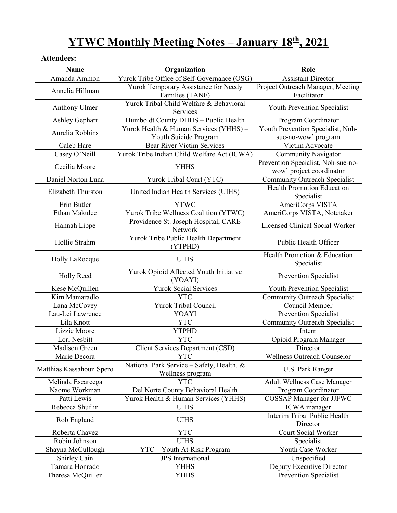# **YTWC Monthly Meeting Notes – January 18th, 2021**

### **Attendees:**

| Name                     | Organization                                                  | Role                                                           |
|--------------------------|---------------------------------------------------------------|----------------------------------------------------------------|
| Amanda Ammon             | Yurok Tribe Office of Self-Governance (OSG)                   | <b>Assistant Director</b>                                      |
| Annelia Hillman          | Yurok Temporary Assistance for Needy<br>Families (TANF)       | Project Outreach Manager, Meeting<br>Facilitator               |
| Anthony Ulmer            | Yurok Tribal Child Welfare & Behavioral<br>Services           | Youth Prevention Specialist                                    |
| Ashley Gephart           | Humboldt County DHHS - Public Health                          | Program Coordinator                                            |
|                          | Yurok Health & Human Services (YHHS) -                        | Youth Prevention Specialist, Noh-                              |
| Aurelia Robbins          | Youth Suicide Program                                         | sue-no-wow' program                                            |
| Caleb Hare               | <b>Bear River Victim Services</b>                             | Victim Advocate                                                |
| Casey O'Neill            | Yurok Tribe Indian Child Welfare Act (ICWA)                   | Community Navigator                                            |
| Cecilia Moore            | <b>YHHS</b>                                                   | Prevention Specialist, Noh-sue-no-<br>wow' project coordinator |
| Daniel Norton Luna       | Yurok Tribal Court (YTC)                                      | <b>Community Outreach Specialist</b>                           |
| Elizabeth Thurston       | United Indian Health Services (UIHS)                          | <b>Health Promotion Education</b><br>Specialist                |
| Erin Butler              | <b>YTWC</b>                                                   | AmeriCorps VISTA                                               |
| Ethan Makulec            | Yurok Tribe Wellness Coalition (YTWC)                         | AmeriCorps VISTA, Notetaker                                    |
| Hannah Lippe             | Providence St. Joseph Hospital, CARE<br>Network               | Licensed Clinical Social Worker                                |
| Hollie Strahm            | Yurok Tribe Public Health Department<br>(YTPHD)               | Public Health Officer                                          |
| Holly LaRocque           | <b>UIHS</b>                                                   | Health Promotion & Education<br>Specialist                     |
| Holly Reed               | Yurok Opioid Affected Youth Initiative<br>(YOAYI)             | Prevention Specialist                                          |
| Kese McQuillen           | <b>Yurok Social Services</b>                                  | Youth Prevention Specialist                                    |
| Kim Mamaradlo            | <b>YTC</b>                                                    | Community Outreach Specialist                                  |
| Lana McCovey             | Yurok Tribal Council                                          | Council Member                                                 |
| Lau-Lei Lawrence         | <b>YOAYI</b>                                                  | Prevention Specialist                                          |
| Lila Knott               | <b>YTC</b>                                                    | Community Outreach Specialist                                  |
| Lizzie Moore             | <b>YTPHD</b>                                                  | Intern                                                         |
| Lori Nesbitt             | <b>YTC</b>                                                    | Opioid Program Manager                                         |
| Madison Green            | <b>Client Services Department (CSD)</b>                       | Director                                                       |
| Marie Decora             | <b>YTC</b>                                                    | <b>Wellness Outreach Counselor</b>                             |
| Matthias Kassahoun Spero | National Park Service - Safety, Health, &<br>Wellness program | U.S. Park Ranger                                               |
| Melinda Escarcega        | <b>YTC</b>                                                    | <b>Adult Wellness Case Manager</b>                             |
| Naome Workman            | Del Norte County Behavioral Health                            | Program Coordinator                                            |
| Patti Lewis              | Yurok Health & Human Services (YHHS)                          | <b>COSSAP Manager for JJFWC</b>                                |
| Rebecca Shuflin          | <b>UIHS</b>                                                   | ICWA manager                                                   |
| Rob England              | <b>UIHS</b>                                                   | Interim Tribal Public Health<br>Director                       |
| Roberta Chavez           | <b>YTC</b>                                                    | Court Social Worker                                            |
| Robin Johnson            | <b>UIHS</b>                                                   | Specialist                                                     |
| Shayna McCullough        | YTC - Youth At-Risk Program                                   | Youth Case Worker                                              |
| Shirley Cain             | <b>JPS</b> International                                      | Unspecified                                                    |
| Tamara Honrado           | <b>YHHS</b>                                                   | Deputy Executive Director                                      |
| Theresa McQuillen        | <b>YHHS</b>                                                   | Prevention Specialist                                          |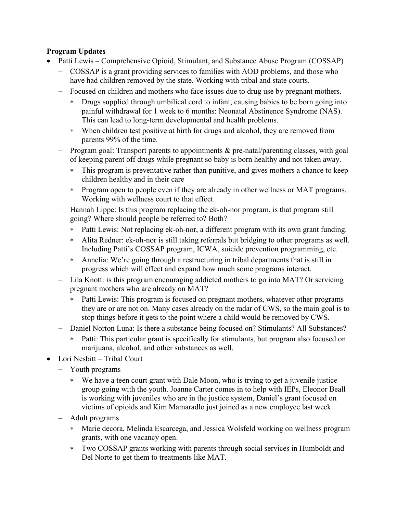### **Program Updates**

- Patti Lewis Comprehensive Opioid, Stimulant, and Substance Abuse Program (COSSAP)
	- − COSSAP is a grant providing services to families with AOD problems, and those who have had children removed by the state. Working with tribal and state courts.
	- − Focused on children and mothers who face issues due to drug use by pregnant mothers.
		- ∗ Drugs supplied through umbilical cord to infant, causing babies to be born going into painful withdrawal for 1 week to 6 months: Neonatal Abstinence Syndrome (NAS). This can lead to long-term developmental and health problems.
		- ∗ When children test positive at birth for drugs and alcohol, they are removed from parents 99% of the time.
	- − Program goal: Transport parents to appointments & pre-natal/parenting classes, with goal of keeping parent off drugs while pregnant so baby is born healthy and not taken away.
		- ∗ This program is preventative rather than punitive, and gives mothers a chance to keep children healthy and in their care
		- ∗ Program open to people even if they are already in other wellness or MAT programs. Working with wellness court to that effect.
	- − Hannah Lippe: Is this program replacing the ek-oh-nor program, is that program still going? Where should people be referred to? Both?
		- ∗ Patti Lewis: Not replacing ek-oh-nor, a different program with its own grant funding.
		- ∗ Alita Redner: ek-oh-nor is still taking referrals but bridging to other programs as well. Including Patti's COSSAP program, ICWA, suicide prevention programming, etc.
		- ∗ Annelia: We're going through a restructuring in tribal departments that is still in progress which will effect and expand how much some programs interact.
	- Lila Knott: is this program encouraging addicted mothers to go into MAT? Or servicing pregnant mothers who are already on MAT?
		- Patti Lewis: This program is focused on pregnant mothers, whatever other programs they are or are not on. Many cases already on the radar of CWS, so the main goal is to stop things before it gets to the point where a child would be removed by CWS.
	- − Daniel Norton Luna: Is there a substance being focused on? Stimulants? All Substances?
		- ∗ Patti: This particular grant is specifically for stimulants, but program also focused on marijuana, alcohol, and other substances as well.
- Lori Nesbitt Tribal Court
	- − Youth programs
		- ∗ We have a teen court grant with Dale Moon, who is trying to get a juvenile justice group going with the youth. Joanne Carter comes in to help with IEPs, Eleonor Beall is working with juveniles who are in the justice system, Daniel's grant focused on victims of opioids and Kim Mamaradlo just joined as a new employee last week.
	- − Adult programs
		- ∗ Marie decora, Melinda Escarcega, and Jessica Wolsfeld working on wellness program grants, with one vacancy open.
		- ∗ Two COSSAP grants working with parents through social services in Humboldt and Del Norte to get them to treatments like MAT.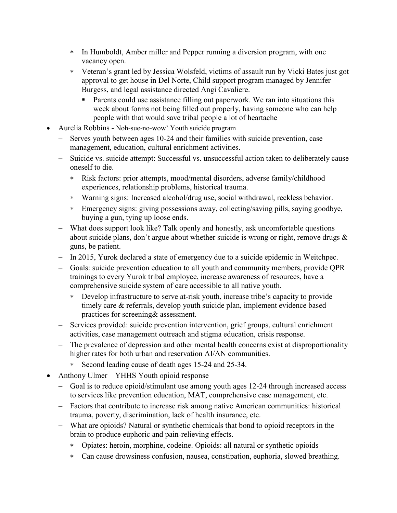- ∗ In Humboldt, Amber miller and Pepper running a diversion program, with one vacancy open.
- ∗ Veteran's grant led by Jessica Wolsfeld, victims of assault run by Vicki Bates just got approval to get house in Del Norte, Child support program managed by Jennifer Burgess, and legal assistance directed Angi Cavaliere.
	- **Parents could use assistance filling out paperwork. We ran into situations this** week about forms not being filled out properly, having someone who can help people with that would save tribal people a lot of heartache
- Aurelia Robbins Noh-sue-no-wow' Youth suicide program
	- − Serves youth between ages 10-24 and their families with suicide prevention, case management, education, cultural enrichment activities.
	- − Suicide vs. suicide attempt: Successful vs. unsuccessful action taken to deliberately cause oneself to die.
		- ∗ Risk factors: prior attempts, mood/mental disorders, adverse family/childhood experiences, relationship problems, historical trauma.
		- ∗ Warning signs: Increased alcohol/drug use, social withdrawal, reckless behavior.
		- ∗ Emergency signs: giving possessions away, collecting/saving pills, saying goodbye, buying a gun, tying up loose ends.
	- − What does support look like? Talk openly and honestly, ask uncomfortable questions about suicide plans, don't argue about whether suicide is wrong or right, remove drugs & guns, be patient.
	- − In 2015, Yurok declared a state of emergency due to a suicide epidemic in Weitchpec.
	- − Goals: suicide prevention education to all youth and community members, provide QPR trainings to every Yurok tribal employee, increase awareness of resources, have a comprehensive suicide system of care accessible to all native youth.
		- ∗ Develop infrastructure to serve at-risk youth, increase tribe's capacity to provide timely care & referrals, develop youth suicide plan, implement evidence based practices for screening& assessment.
	- − Services provided: suicide prevention intervention, grief groups, cultural enrichment activities, case management outreach and stigma education, crisis response.
	- − The prevalence of depression and other mental health concerns exist at disproportionality higher rates for both urban and reservation AI/AN communities.
		- ∗ Second leading cause of death ages 15-24 and 25-34.
- Anthony Ulmer YHHS Youth opioid response
	- − Goal is to reduce opioid/stimulant use among youth ages 12-24 through increased access to services like prevention education, MAT, comprehensive case management, etc.
	- − Factors that contribute to increase risk among native American communities: historical trauma, poverty, discrimination, lack of health insurance, etc.
	- − What are opioids? Natural or synthetic chemicals that bond to opioid receptors in the brain to produce euphoric and pain-relieving effects.
		- ∗ Opiates: heroin, morphine, codeine. Opioids: all natural or synthetic opioids
		- ∗ Can cause drowsiness confusion, nausea, constipation, euphoria, slowed breathing.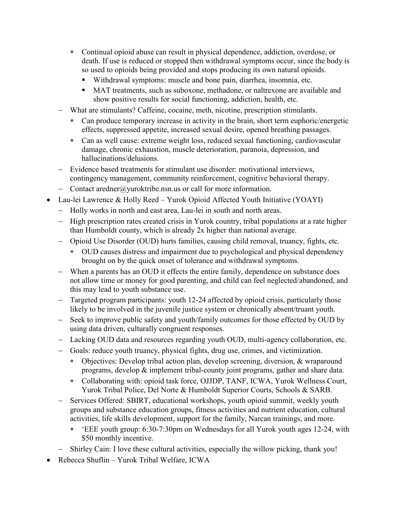- ∗ Continual opioid abuse can result in physical dependence, addiction, overdose, or death. If use is reduced or stopped then withdrawal symptoms occur, since the body is so used to opioids being provided and stops producing its own natural opioids.
	- Withdrawal symptoms: muscle and bone pain, diarrhea, insomnia, etc.
	- MAT treatments, such as suboxone, methadone, or naltrexone are available and show positive results for social functioning, addiction, health, etc.
- What are stimulants? Caffeine, cocaine, meth, nicotine, prescription stimulants.
	- ∗ Can produce temporary increase in activity in the brain, short term euphoric/energetic effects, suppressed appetite, increased sexual desire, opened breathing passages.
	- ∗ Can as well cause: extreme weight loss, reduced sexual functioning, cardiovascular damage, chronic exhaustion, muscle deterioration, paranoia, depression, and hallucinations/delusions.
- − Evidence based treatments for stimulant use disorder: motivational interviews, contingency management, community reinforcement, cognitive behavioral therapy.
- − Contact aredner@yuroktribe.nsn.us or call for more information.
- Lau-lei Lawrence & Holly Reed Yurok Opioid Affected Youth Initiative (YOAYI)
	- − Holly works in north and east area, Lau-lei in south and north areas.
	- − High prescription rates created crisis in Yurok country, tribal populations at a rate higher than Humboldt county, which is already 2x higher than national average.
	- − Opioid Use Disorder (OUD) hurts families, causing child removal, truancy, fights, etc.
		- ∗ OUD causes distress and impairment due to psychological and physical dependency brought on by the quick onset of tolerance and withdrawal symptoms.
	- − When a parents has an OUD it effects the entire family, dependence on substance does not allow time or money for good parenting, and child can feel neglected/abandoned, and this may lead to youth substance use.
	- Targeted program participants: youth 12-24 affected by opioid crisis, particularly those likely to be involved in the juvenile justice system or chronically absent/truant youth.
	- − Seek to improve public safety and youth/family outcomes for those effected by OUD by using data driven, culturally congruent responses.
	- − Lacking OUD data and resources regarding youth OUD, multi-agency collaboration, etc.
	- − Goals: reduce youth truancy, physical fights, drug use, crimes, and victimization.
		- ∗ Objectives: Develop tribal action plan, develop screening, diversion, & wraparound programs, develop & implement tribal-county joint programs, gather and share data.
		- ∗ Collaborating with: opioid task force, OJJDP, TANF, ICWA, Yurok Wellness Court, Yurok Tribal Police, Del Norte & Humboldt Superior Courts, Schools & SARB.
	- Services Offered: SBIRT, educational workshops, youth opioid summit, weekly youth groups and substance education groups, fitness activities and nutrient education, cultural activities, life skills development, support for the family, Narcan trainings, and more.
		- ∗ 'EEE youth group: 6:30-7:30pm on Wednesdays for all Yurok youth ages 12-24, with \$50 monthly incentive.
	- − Shirley Cain: I love these cultural activities, especially the willow picking, thank you!
- Rebecca Shuflin Yurok Tribal Welfare, ICWA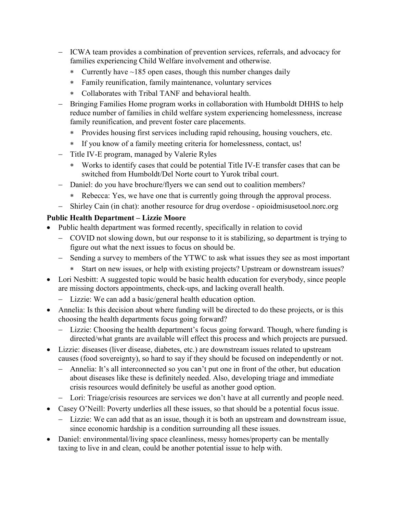- − ICWA team provides a combination of prevention services, referrals, and advocacy for families experiencing Child Welfare involvement and otherwise.
	- ∗ Currently have ~185 open cases, though this number changes daily
	- ∗ Family reunification, family maintenance, voluntary services
	- ∗ Collaborates with Tribal TANF and behavioral health.
- − Bringing Families Home program works in collaboration with Humboldt DHHS to help reduce number of families in child welfare system experiencing homelessness, increase family reunification, and prevent foster care placements.
	- ∗ Provides housing first services including rapid rehousing, housing vouchers, etc.
	- ∗ If you know of a family meeting criteria for homelessness, contact, us!
- − Title IV-E program, managed by Valerie Ryles
	- ∗ Works to identify cases that could be potential Title IV-E transfer cases that can be switched from Humboldt/Del Norte court to Yurok tribal court.
- − Daniel: do you have brochure/flyers we can send out to coalition members?
	- ∗ Rebecca: Yes, we have one that is currently going through the approval process.
- − Shirley Cain (in chat): another resource for drug overdose opioidmisusetool.norc.org

### **Public Health Department – Lizzie Moore**

- Public health department was formed recently, specifically in relation to covid
	- − COVID not slowing down, but our response to it is stabilizing, so department is trying to figure out what the next issues to focus on should be.
	- − Sending a survey to members of the YTWC to ask what issues they see as most important
		- ∗ Start on new issues, or help with existing projects? Upstream or downstream issues?
- Lori Nesbitt: A suggested topic would be basic health education for everybody, since people are missing doctors appointments, check-ups, and lacking overall health.
	- − Lizzie: We can add a basic/general health education option.
- Annelia: Is this decision about where funding will be directed to do these projects, or is this choosing the health departments focus going forward?
	- − Lizzie: Choosing the health department's focus going forward. Though, where funding is directed/what grants are available will effect this process and which projects are pursued.
- Lizzie: diseases (liver disease, diabetes, etc.) are downstream issues related to upstream causes (food sovereignty), so hard to say if they should be focused on independently or not.
	- − Annelia: It's all interconnected so you can't put one in front of the other, but education about diseases like these is definitely needed. Also, developing triage and immediate crisis resources would definitely be useful as another good option.
	- − Lori: Triage/crisis resources are services we don't have at all currently and people need.
- Casey O'Neill: Poverty underlies all these issues, so that should be a potential focus issue.
	- − Lizzie: We can add that as an issue, though it is both an upstream and downstream issue, since economic hardship is a condition surrounding all these issues.
- Daniel: environmental/living space cleanliness, messy homes/property can be mentally taxing to live in and clean, could be another potential issue to help with.